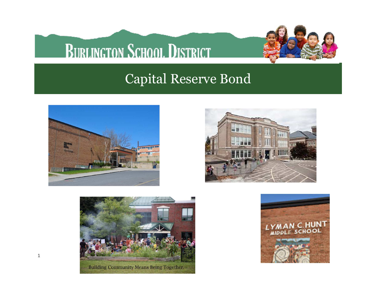### **BURLINGTON SCHOOL DISTRICT**



#### Capital Reserve Bond



1





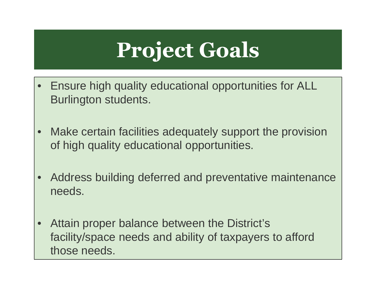# **Project Goals**

- $\bullet$  Ensure high quality educational opportunities for ALL Burlington students.
- • Make certain facilities adequately support the provision of high quality educational opportunities.
- • Address building deferred and preventative maintenance needs.
- $\bullet$  Attain proper balance between the District's facility/space needs and ability of taxpayers to afford those needs.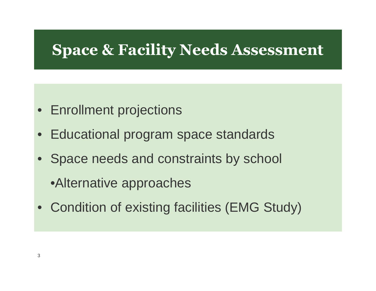#### **Space & Facility Needs Assessment**

- Enrollment projections
- $\bullet$ Educational program space standards
- Space needs and constraints by school
	- •Alternative approaches
- Condition of existing facilities (EMG Study)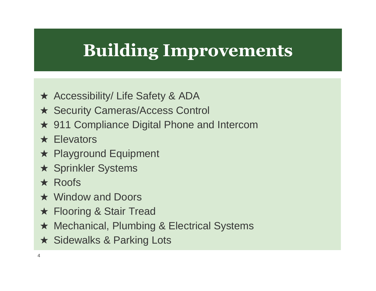### **Building Improvements**

- **★ Accessibility/ Life Safety & ADA**
- ★ Security Cameras/Access Control
- ★ 911 Compliance Digital Phone and Intercom
- **★ Elevators**
- ★ Playground Equipment
- ★ Sprinkler Systems
- ★ Roofs
- ★ Window and Doors
- **★ Flooring & Stair Tread**
- ★ Mechanical, Plumbing & Electrical Systems
- ★ Sidewalks & Parking Lots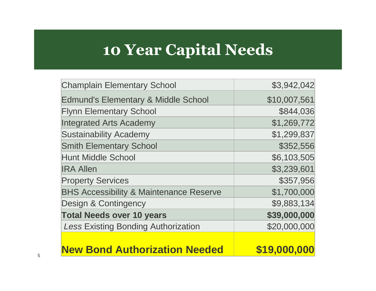#### **10 Year Capital Needs**

| <b>Champlain Elementary School</b>                 | \$3,942,042  |
|----------------------------------------------------|--------------|
| <b>Edmund's Elementary &amp; Middle School</b>     | \$10,007,561 |
| <b>Flynn Elementary School</b>                     | \$844,036    |
| <b>Integrated Arts Academy</b>                     | \$1,269,772  |
| <b>Sustainability Academy</b>                      | \$1,299,837  |
| <b>Smith Elementary School</b>                     | \$352,556    |
| <b>Hunt Middle School</b>                          | \$6,103,505  |
| <b>IRA Allen</b>                                   | \$3,239,601  |
| <b>Property Services</b>                           | \$357,956    |
| <b>BHS Accessibility &amp; Maintenance Reserve</b> | \$1,700,000  |
| <b>Design &amp; Contingency</b>                    | \$9,883,134  |
| <b>Total Needs over 10 years</b>                   | \$39,000,000 |
| <b>Less Existing Bonding Authorization</b>         | \$20,000,000 |
| <b>New Bond Authorization Needed</b>               | \$19,000,0   |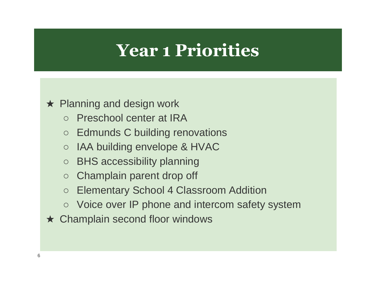### **Year 1 Priorities**

#### ★ Planning and design work

- Preschool center at IRA
- Edmunds C building renovations
- $\circ$ IAA building envelope & HVAC
- BHS accessibility planning
- Champlain parent drop off
- Elementary School 4 Classroom Addition
- Voice over IP phone and intercom safety system
- ★ Champlain second floor windows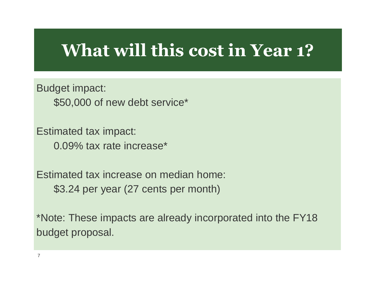#### **What will this cost in Year 1?**

Budget impact: \$50,000 of new debt service\*

Estimated tax impact: 0.09% tax rate increase\*

7

Estimated tax increase on median home:\$3.24 per year (27 cents per month)

\*Note: These impacts are already incorporated into the FY18 budget proposal.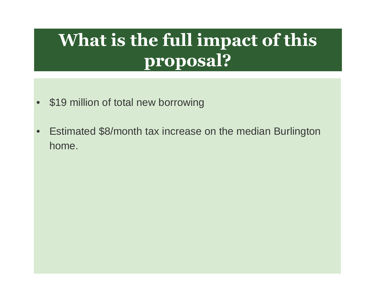### **What is the full impact of this proposal?**

- \$19 million of total new borrowing
- • Estimated \$8/month tax increase on the median Burlington home.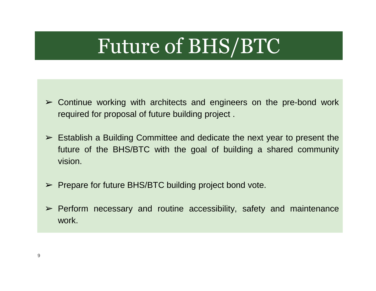## Future of BHS/BTC

- $\geq$  Continue working with architects and engineers on the pre-bond work required for proposal of future building project .
- $\geq$  Establish a Building Committee and dedicate the next year to present the<br>titles of the BUS/BTC with the seal of building a shared community future of the BHS/BTC with the goal of building <sup>a</sup> shared communityvision.
- ➢ Prepare for future BHS/BTC building project bond vote.
- ➢ Perform necessary and routine accessibility, safety and maintenance work.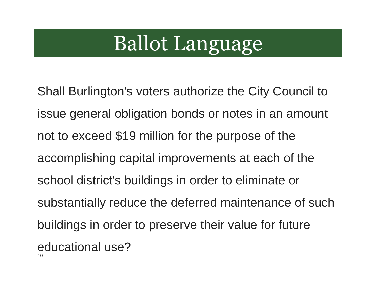# Ballot Language

10Shall Burlington's voters authorize the City Council to issue general obligation bonds or notes in an amount not to exceed \$19 million for the purpose of the accomplishing capital improvements at each of the school district's buildings in order to eliminate or substantially reduce the deferred maintenance of such buildings in order to preserve their value for future educational use?